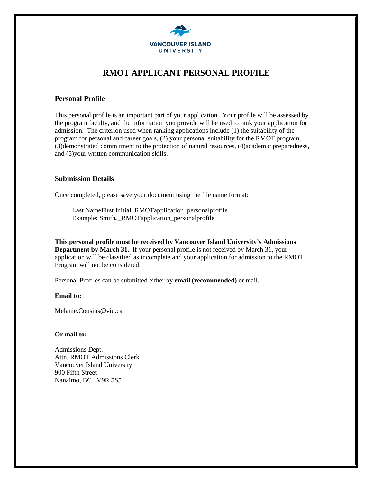

# **RMOT APPLICANT PERSONAL PROFILE**

### **Personal Profile**

This personal profile is an important part of your application. Your profile will be assessed by the program faculty, and the information you provide will be used to rank your application for admission. The criterion used when ranking applications include (1) the suitability of the program for personal and career goals, (2) your personal suitability for the RMOT program, (3)demonstrated commitment to the protection of natural resources, (4)academic preparedness, and (5)your written communication skills.

### **Submission Details**

Once completed, please save your document using the file name format:

Last NameFirst Initial\_RMOTapplication\_personalprofile Example: SmithJ\_RMOTapplication\_personalprofile

**This personal profile must be received by Vancouver Island University's Admissions Department by March 31.** If your personal profile is not received by March 31, your application will be classified as incomplete and your application for admission to the RMOT Program will not be considered.

Personal Profiles can be submitted either by **email (recommended)** or mail.

#### **Email to:**

Melanie.Cousins@viu.ca

#### **Or mail to:**

Admissions Dept. Attn. RMOT Admissions Clerk Vancouver Island University 900 Fifth Street Nanaimo, BC V9R 5S5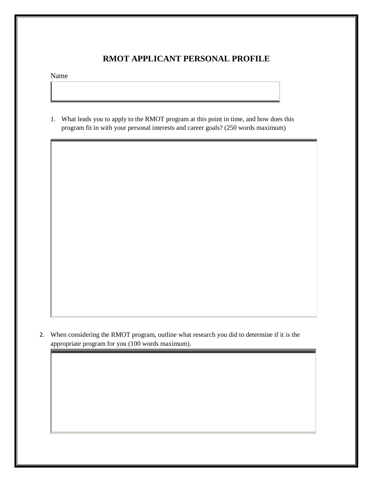# **RMOT APPLICANT PERSONAL PROFILE**

Name

1. What leads you to apply to the RMOT program at this point in time, and how does this program fit in with your personal interests and career goals? (250 words maximum)

2. When considering the RMOT program, outline what research you did to determine if it is the appropriate program for you (100 words maximum).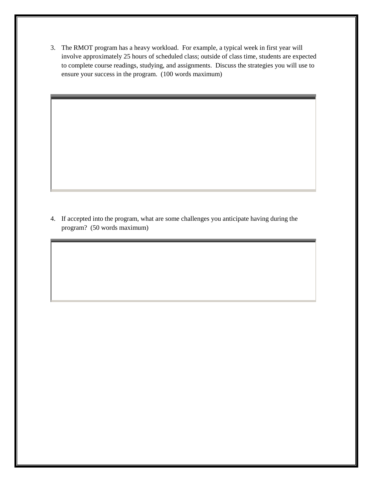3. The RMOT program has a heavy workload. For example, a typical week in first year will involve approximately 25 hours of scheduled class; outside of class time, students are expected to complete course readings, studying, and assignments. Discuss the strategies you will use to ensure your success in the program. (100 words maximum)

4. If accepted into the program, what are some challenges you anticipate having during the program? (50 words maximum)